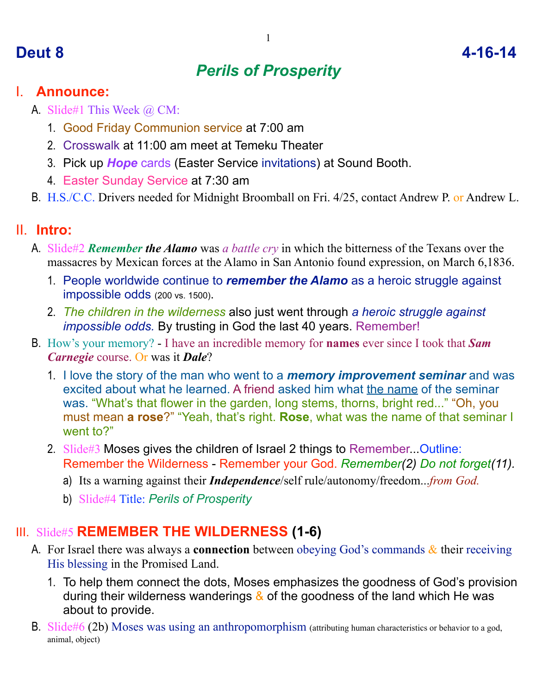# *Perils of Prosperity*

### I. **Announce:**

A. Slide#1 This Week @ CM:

- 1. Good Friday Communion service at 7:00 am
- 2. Crosswalk at 11:00 am meet at Temeku Theater
- 3. Pick up *Hope* cards (Easter Service invitations) at Sound Booth.
- 4. Easter Sunday Service at 7:30 am
- B. H.S./C.C. Drivers needed for Midnight Broomball on Fri. 4/25, contact Andrew P. or Andrew L.

## II. **Intro:**

- A. Slide#2 *Remember the Alamo* was *a battle cry* in which the bitterness of the [Texans](http://www.answers.com/topic/houston-texans) over the massacres by Mexican forces at the Alamo in San Antonio found expression, on March 6,1836.
	- 1. People worldwide continue to *remember the Alamo* as a heroic struggle against impossible odds (200 vs. 1500).
	- 2. *The children in the wilderness* also just went through *a heroic struggle against impossible odds.* By trusting in God the last 40 years. Remember!
- B. How's your memory? I have an incredible memory for **names** ever since I took that *Sam Carnegie* course. Or was it *Dale*?
	- 1. I love the story of the man who went to a *memory improvement seminar* and was excited about what he learned. A friend asked him what the name of the seminar was. "What's that flower in the garden, long stems, thorns, bright red..." "Oh, you must mean **a rose**?" "Yeah, that's right. **Rose**, what was the name of that seminar I went to?"
	- 2. Slide#3 Moses gives the children of Israel 2 things to Remember... Outline: Remember the Wilderness - Remember your God. *Remember(2) Do not forget(11).*
		- a) Its a warning against their *Independence*/self rule/autonomy/freedom...*from God.*
		- b) Slide#4 Title: *Perils of Prosperity*

# III. Slide#5 **REMEMBER THE WILDERNESS (1-6)**

- A. For Israel there was always a **connection** between obeying God's commands  $\&$  their receiving His blessing in the Promised Land.
	- 1. To help them connect the dots, Moses emphasizes the goodness of God's provision during their wilderness wanderings  $\&$  of the goodness of the land which He was about to provide.
- B. Slide#6 (2b) Moses was using an anthropomorphism (attributing human characteristics or behavior to a god, animal, object)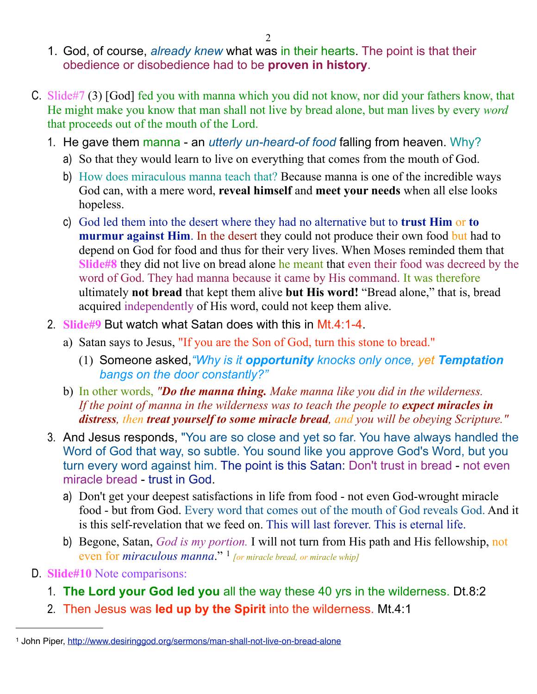- 1. God, of course, *already knew* what was in their hearts. The point is that their obedience or disobedience had to be **proven in history**.
- C. Slide#7 (3) [God] fed you with manna which you did not know, nor did your fathers know, that He might make you know that man shall not live by bread alone, but man lives by every *word* that proceeds out of the mouth of the Lord.
	- 1. He gave them manna an *utterly un-heard-of food* falling from heaven. Why?
		- a) So that they would learn to live on everything that comes from the mouth of God.
		- b) How does miraculous manna teach that? Because manna is one of the incredible ways God can, with a mere word, **reveal himself** and **meet your needs** when all else looks hopeless.
		- c) God led them into the desert where they had no alternative but to **trust Him** or **to murmur against Him**. In the desert they could not produce their own food but had to depend on God for food and thus for their very lives. When Moses reminded them that **Slide#8** they did not live on bread alone he meant that even their food was decreed by the word of God. They had manna because it came by His command. It was therefore ultimately **not bread** that kept them alive **but His word!** "Bread alone," that is, bread acquired independently of His word, could not keep them alive.
	- 2. **Slide#9** But watch what Satan does with this in Mt.4:1-4.
		- a) Satan says to Jesus, "If you are the Son of God, turn this stone to bread."
			- (1) Someone asked,*"Why is it opportunity knocks only once, yet Temptation bangs on the door constantly?"*
		- b) In other words, *"Do the manna thing. Make manna like you did in the wilderness. If the point of manna in the wilderness was to teach the people to expect miracles in distress, then treat yourself to some miracle bread, and you will be obeying Scripture."*
	- 3. And Jesus responds, "You are so close and yet so far. You have always handled the Word of God that way, so subtle. You sound like you approve God's Word, but you turn every word against him. The point is this Satan: Don't trust in bread - not even miracle bread - trust in God.
		- a) Don't get your deepest satisfactions in life from food not even God-wrought miracle food - but from God. Every word that comes out of the mouth of God reveals God. And it is this self-revelation that we feed on. This will last forever. This is eternal life.
		- b) Begone, Satan, *God is my portion.* I will not turn from His path and His fellowship, not even for *miraculous manna*." [1](#page-1-0) *[or miracle bread, or miracle whip]*
- D. **Slide#10** Note comparisons:
	- 1. **The Lord your God led you** all the way these 40 yrs in the wilderness. Dt.8:2
	- 2. Then Jesus was **led up by the Spirit** into the wilderness. Mt.4:1

<span id="page-1-0"></span><sup>1</sup> John Piper,<http://www.desiringgod.org/sermons/man-shall-not-live-on-bread-alone>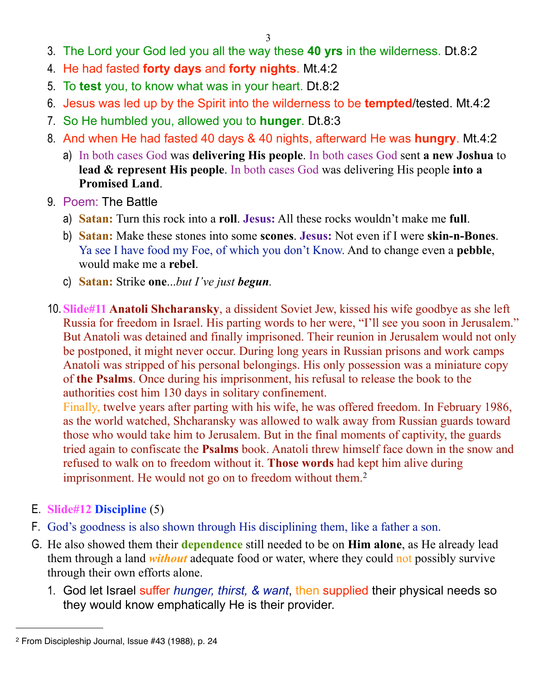- 3. The Lord your God led you all the way these **40 yrs** in the wilderness. Dt.8:2
- 4. He had fasted **forty days** and **forty nights**. Mt.4:2
- 5. To **test** you, to know what was in your heart. Dt.8:2
- 6. Jesus was led up by the Spirit into the wilderness to be **tempted**/tested. Mt.4:2
- 7. So He humbled you, allowed you to **hunger**. Dt.8:3
- 8. And when He had fasted 40 days & 40 nights, afterward He was **hungry**. Mt.4:2
	- a) In both cases God was **delivering His people**. In both cases God sent **a new Joshua** to **lead & represent His people**. In both cases God was delivering His people **into a Promised Land**.
- 9. Poem: The Battle
	- a) **Satan:** Turn this rock into a **roll**. **Jesus:** All these rocks wouldn't make me **full**.
	- b) **Satan:** Make these stones into some **scones**. **Jesus:** Not even if I were **skin-n-Bones**. Ya see I have food my Foe, of which you don't Know. And to change even a **pebble**, would make me a **rebel**.
	- c) **Satan:** Strike **one**...*but I've just begun.*
- 10. **Slide#11 Anatoli Shcharansky**, a dissident Soviet Jew, kissed his wife goodbye as she left Russia for freedom in Israel. His parting words to her were, "I'll see you soon in Jerusalem." But Anatoli was detained and finally imprisoned. Their reunion in Jerusalem would not only be postponed, it might never occur. During long years in Russian prisons and work camps Anatoli was stripped of his personal belongings. His only possession was a miniature copy of **the Psalms**. Once during his imprisonment, his refusal to release the book to the authorities cost him 130 days in solitary confinement.

Finally, twelve years after parting with his wife, he was offered freedom. In February 1986, as the world watched, Shcharansky was allowed to walk away from Russian guards toward those who would take him to Jerusalem. But in the final moments of captivity, the guards tried again to confiscate the **Psalms** book. Anatoli threw himself face down in the snow and refused to walk on to freedom without it. **Those words** had kept him alive during imprisonment. He would not go on to freedom without them.<sup>[2](#page-2-0)</sup>

- E. **Slide#12 Discipline** (5)
- F. God's goodness is also shown through His disciplining them, like a father a son.
- G. He also showed them their **dependence** still needed to be on **Him alone**, as He already lead them through a land *without* adequate food or water, where they could not possibly survive through their own efforts alone.
	- 1. God let Israel suffer *hunger, thirst, & want*, then supplied their physical needs so they would know emphatically He is their provider.

<span id="page-2-0"></span><sup>2</sup> From Discipleship Journal, Issue #43 (1988), p. 24